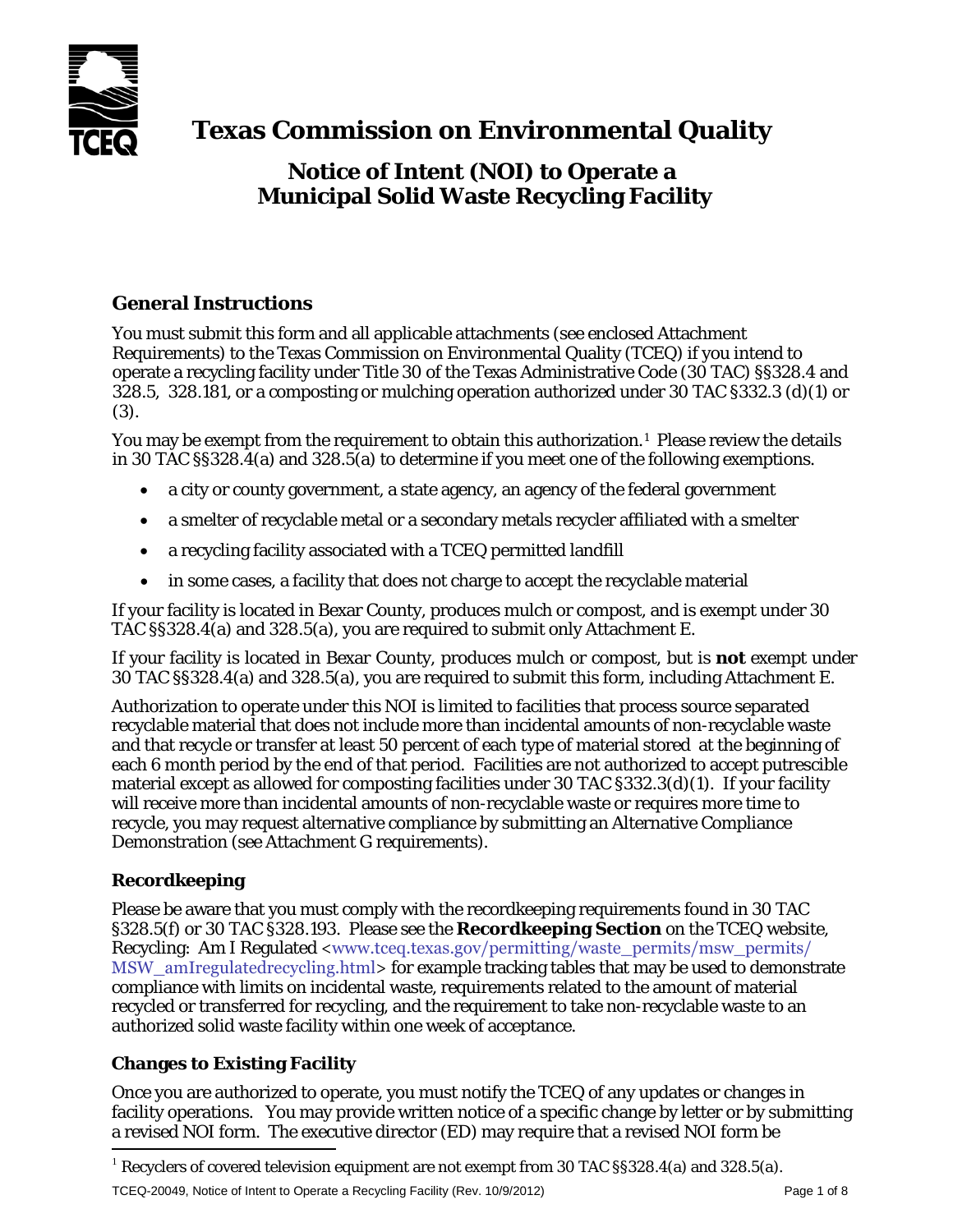

# **Texas Commission on Environmental Quality**

## **Notice of Intent (NOI) to Operate a Municipal Solid Waste Recycling Facility**

## **General Instructions**

You must submit this form and all applicable attachments (see enclosed Attachment Requirements) to the Texas Commission on Environmental Quality (TCEQ) if you intend to operate a recycling facility under Title 30 of the Texas Administrative Code (30 TAC) §§328.4 and 328.5, 328.181, or a composting or mulching operation authorized under 30 TAC §332.3 (d)(1) or (3).

You may be exempt from the requirement to obtain this authorization.<sup>[1](#page-0-0)</sup> Please review the details in 30 TAC §§328.4(a) and 328.5(a) to determine if you meet one of the following exemptions.

- a city or county government, a state agency, an agency of the federal government
- a smelter of recyclable metal or a secondary metals recycler affiliated with a smelter
- a recycling facility associated with a TCEQ permitted landfill
- in some cases, a facility that does not charge to accept the recyclable material

If your facility is located in Bexar County, produces mulch or compost, and is exempt under 30 TAC §§328.4(a) and 328.5(a), you are required to submit only Attachment E.

If your facility is located in Bexar County, produces mulch or compost, but is **not** exempt under 30 TAC §§328.4(a) and 328.5(a), you are required to submit this form, including Attachment E.

Authorization to operate under this NOI is limited to facilities that process source separated recyclable material that does not include more than incidental amounts of non-recyclable waste and that recycle or transfer at least 50 percent of each type of material stored at the beginning of each 6 month period by the end of that period. Facilities are not authorized to accept putrescible material except as allowed for composting facilities under 30 TAC §332.3(d)(1). If your facility will receive more than incidental amounts of non-recyclable waste or requires more time to recycle, you may request alternative compliance by submitting an Alternative Compliance Demonstration (see Attachment G requirements).

## **Recordkeeping**

Please be aware that you must comply with the recordkeeping requirements found in 30 TAC §328.5(f) or 30 TAC §328.193. Please see the **Recordkeeping Section** on the TCEQ website, Recycling: Am I Regulated <www.tceq.texas.gov/permitting/waste\_permits/msw\_permits/ MSW\_amIregulatedrecycling.html> for example tracking tables that may be used to demonstrate compliance with limits on incidental waste, requirements related to the amount of material recycled or transferred for recycling, and the requirement to take non-recyclable waste to an authorized solid waste facility within one week of acceptance.

## **Changes to Existing Facility**

Once you are authorized to operate, you must notify the TCEQ of any updates or changes in facility operations. You may provide written notice of a specific change by letter or by submitting a revised NOI form. The executive director (ED) may require that a revised NOI form be

<span id="page-0-0"></span><sup>&</sup>lt;sup>1</sup> Recyclers of covered television equipment are not exempt from 30 TAC §§328.4(a) and 328.5(a).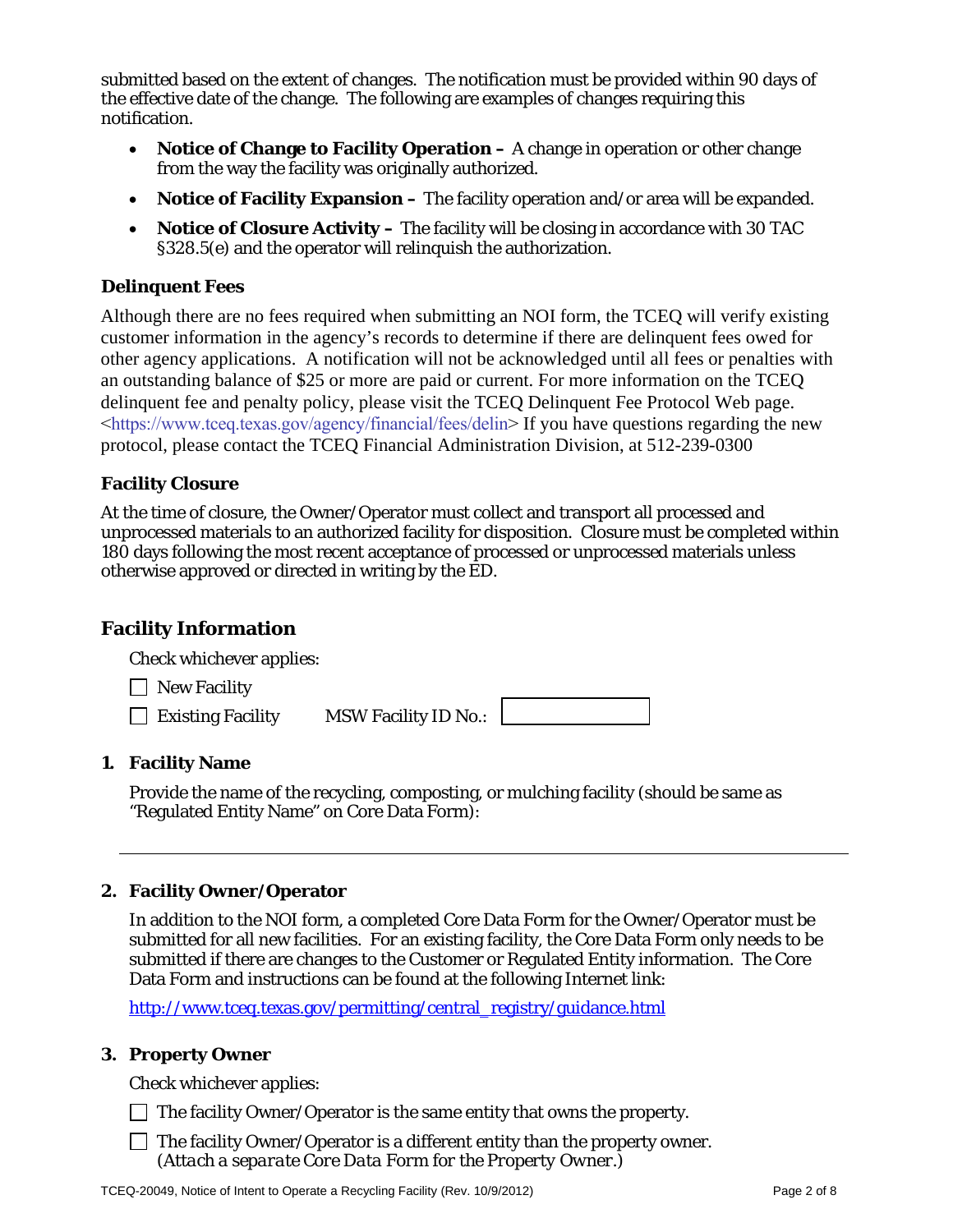submitted based on the extent of changes. The notification must be provided within 90 days of the effective date of the change. The following are examples of changes requiring this notification.

- **Notice of Change to Facility Operation** A change in operation or other change from the way the facility was originally authorized.
- **Notice of Facility Expansion –** The facility operation and/or area will be expanded.
- **Notice of Closure Activity** The facility will be closing in accordance with 30 TAC §328.5(e) and the operator will relinquish the authorization.

#### **Delinquent Fees**

Although there are no fees required when submitting an NOI form, the TCEQ will verify existing customer information in the agency's records to determine if there are delinquent fees owed for other agency applications. A notification will not be acknowledged until all fees or penalties with an outstanding balance of \$25 or more are paid or current. For more information on the TCEQ delinquent fee and penalty policy, please visit the TCEQ Delinquent Fee Protocol Web page. [<https://www.tceq.texas.gov/agency/financial/fees/delin>](https://www.tceq.texas.gov/agency/financial/fees/delin) If you have questions regarding the new protocol, please contact the TCEQ Financial Administration Division, at 512-239-0300

#### **Facility Closure**

At the time of closure, the Owner/Operator must collect and transport all processed and unprocessed materials to an authorized facility for disposition. Closure must be completed within 180 days following the most recent acceptance of processed or unprocessed materials unless otherwise approved or directed in writing by the ED.

## **Facility Information**

| Check whichever applies: |                             |  |
|--------------------------|-----------------------------|--|
| $\Box$ New Facility      |                             |  |
| $\Box$ Existing Facility | <b>MSW Facility ID No.:</b> |  |

#### **1. Facility Name**

Provide the name of the recycling, composting, or mulching facility (should be same as "Regulated Entity Name" on Core Data Form):

#### **2. Facility Owner/Operator**

In addition to the NOI form, a completed Core Data Form for the Owner/Operator must be submitted for all new facilities. For an existing facility, the Core Data Form only needs to be submitted if there are changes to the Customer or Regulated Entity information. The Core Data Form and instructions can be found at the following Internet link:

[http://www.tceq.texas.gov/permitting/central\\_registry/guidance.html](http://www.tceq.texas.gov/permitting/central_registry/guidance.html)

#### **3. Property Owner**

Check whichever applies:

 $\Box$  The facility Owner/Operator is the same entity that owns the property.

 $\Box$  The facility Owner/Operator is a different entity than the property owner. *(Attach a separate Core Data Form for the Property Owner.)*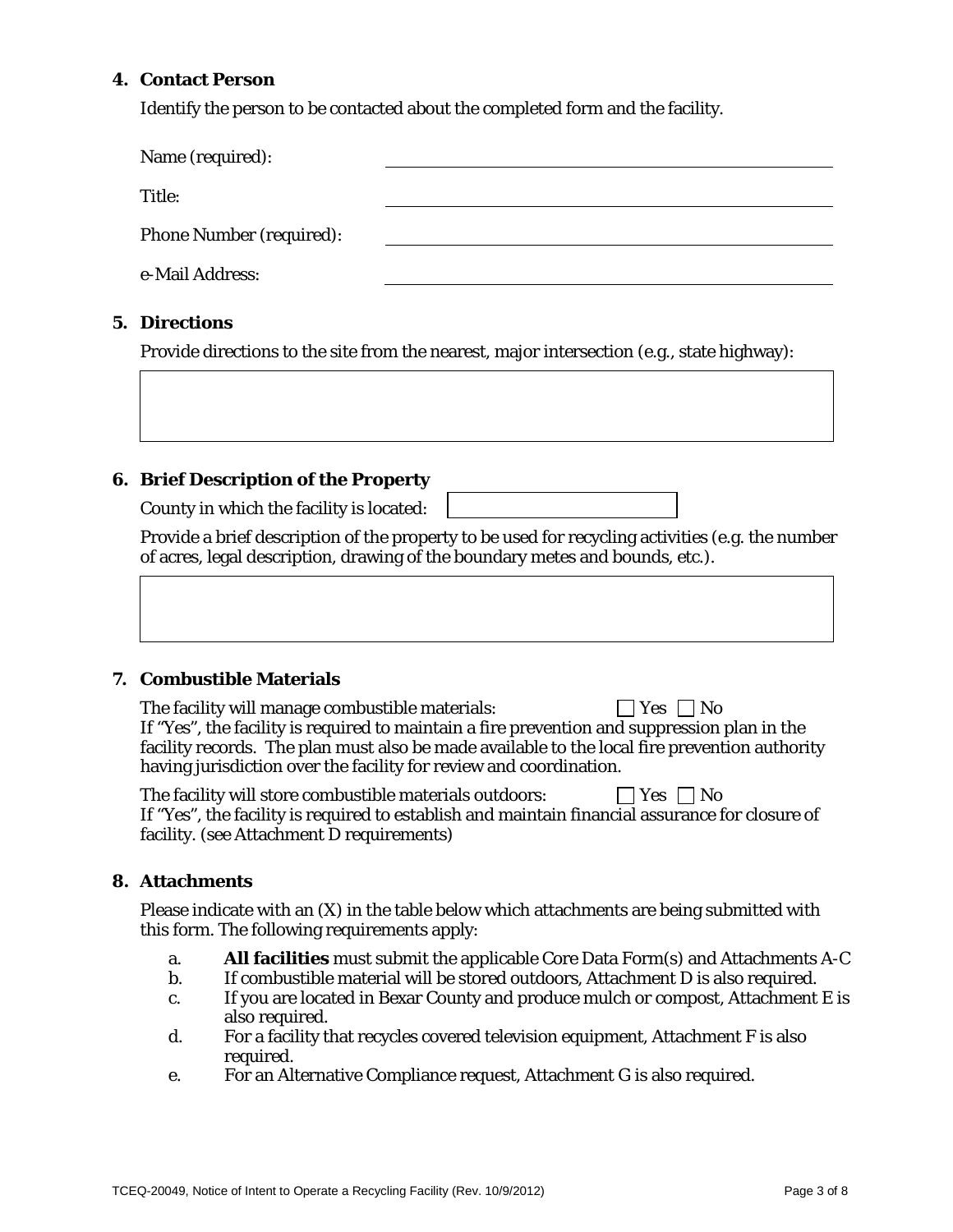#### **4. Contact Person**

Identify the person to be contacted about the completed form and the facility.

| Name (required):                |  |
|---------------------------------|--|
| Title:                          |  |
| <b>Phone Number (required):</b> |  |
| e-Mail Address:                 |  |
|                                 |  |

#### **5. Directions**

Provide directions to the site from the nearest, major intersection (e.g., state highway):

#### **6. Brief Description of the Property**

County in which the facility is located:

Provide a brief description of the property to be used for recycling activities (e.g. the number of acres, legal description, drawing of the boundary metes and bounds, etc.).

#### **7. Combustible Materials**

The facility will manage combustible materials:  $\Box$  Yes  $\Box$  No If "Yes", the facility is required to maintain a fire prevention and suppression plan in the facility records. The plan must also be made available to the local fire prevention authority having jurisdiction over the facility for review and coordination.

| The facility will store combustible materials outdoors:                                         | $\Box$ Yes $\Box$ No |
|-------------------------------------------------------------------------------------------------|----------------------|
| If "Yes", the facility is required to establish and maintain financial assurance for closure of |                      |
| facility. (see Attachment D requirements)                                                       |                      |

#### **8. Attachments**

Please indicate with an (X) in the table below which attachments are being submitted with this form. The following requirements apply:

- a. **All facilities** must submit the applicable Core Data Form(s) and Attachments A-C
- b. If combustible material will be stored outdoors, Attachment D is also required.
- c. If you are located in Bexar County and produce mulch or compost, Attachment E is also required.
- d. For a facility that recycles covered television equipment, Attachment F is also required.
- e. For an Alternative Compliance request, Attachment G is also required.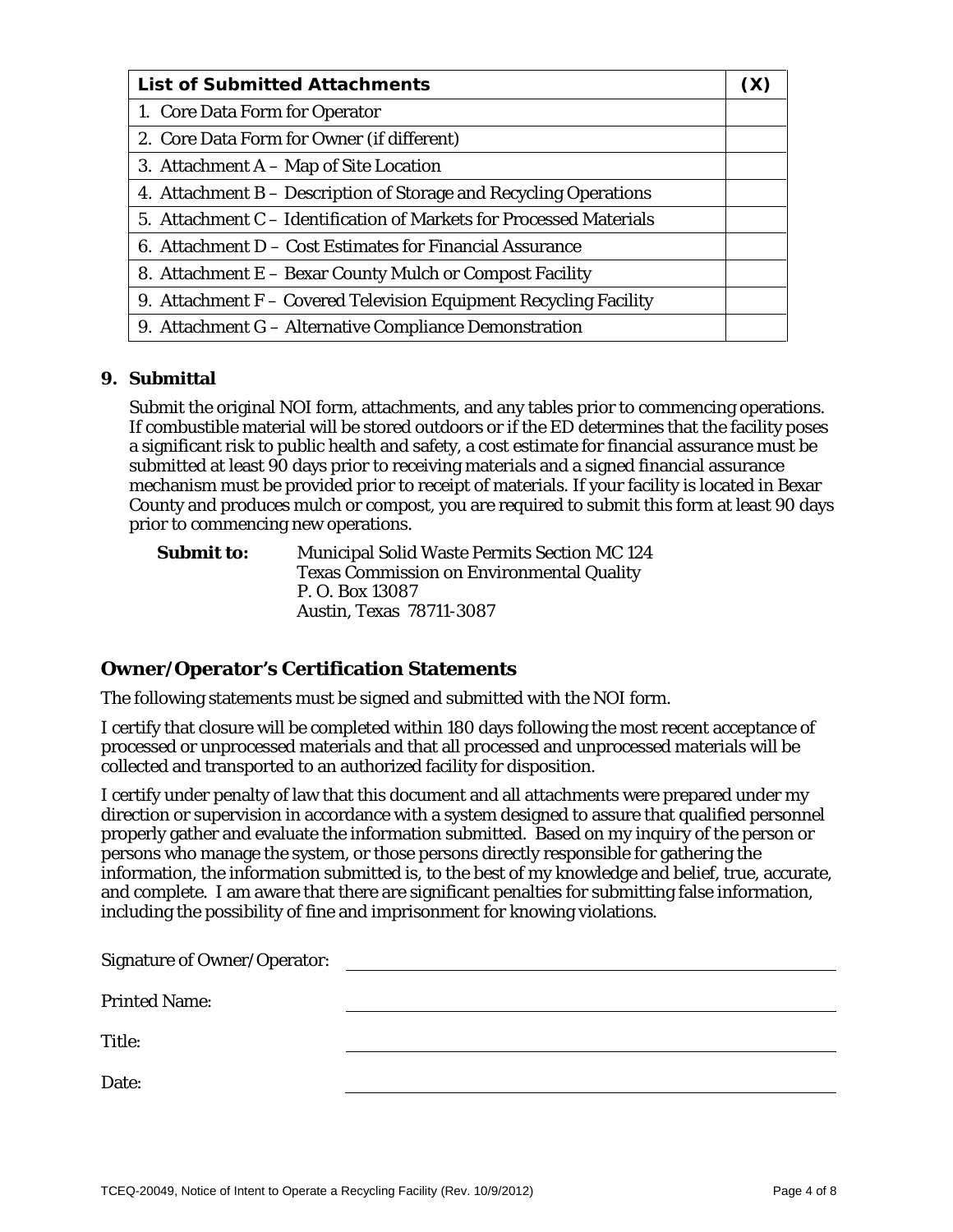| <b>List of Submitted Attachments</b>                                |  |
|---------------------------------------------------------------------|--|
| 1. Core Data Form for Operator                                      |  |
| 2. Core Data Form for Owner (if different)                          |  |
| 3. Attachment A - Map of Site Location                              |  |
| 4. Attachment B – Description of Storage and Recycling Operations   |  |
| 5. Attachment C – Identification of Markets for Processed Materials |  |
| 6. Attachment D – Cost Estimates for Financial Assurance            |  |
| 8. Attachment E – Bexar County Mulch or Compost Facility            |  |
| 9. Attachment $F -$ Covered Television Equipment Recycling Facility |  |
| 9. Attachment G – Alternative Compliance Demonstration              |  |

#### **9. Submittal**

Submit the original NOI form, attachments, and any tables prior to commencing operations. If combustible material will be stored outdoors or if the ED determines that the facility poses a significant risk to public health and safety, a cost estimate for financial assurance must be submitted at least 90 days prior to receiving materials and a signed financial assurance mechanism must be provided prior to receipt of materials. If your facility is located in Bexar County and produces mulch or compost, you are required to submit this form at least 90 days prior to commencing new operations.

**Submit to:** Municipal Solid Waste Permits Section MC 124 Texas Commission on Environmental Quality P. O. Box 13087 Austin, Texas 78711-3087

#### **Owner/Operator's Certification Statements**

The following statements must be signed and submitted with the NOI form.

I certify that closure will be completed within 180 days following the most recent acceptance of processed or unprocessed materials and that all processed and unprocessed materials will be collected and transported to an authorized facility for disposition.

I certify under penalty of law that this document and all attachments were prepared under my direction or supervision in accordance with a system designed to assure that qualified personnel properly gather and evaluate the information submitted. Based on my inquiry of the person or persons who manage the system, or those persons directly responsible for gathering the information, the information submitted is, to the best of my knowledge and belief, true, accurate, and complete. I am aware that there are significant penalties for submitting false information, including the possibility of fine and imprisonment for knowing violations.

| <b>Signature of Owner/Operator:</b> |  |
|-------------------------------------|--|
| <b>Printed Name:</b>                |  |
| Title:                              |  |
| Date:                               |  |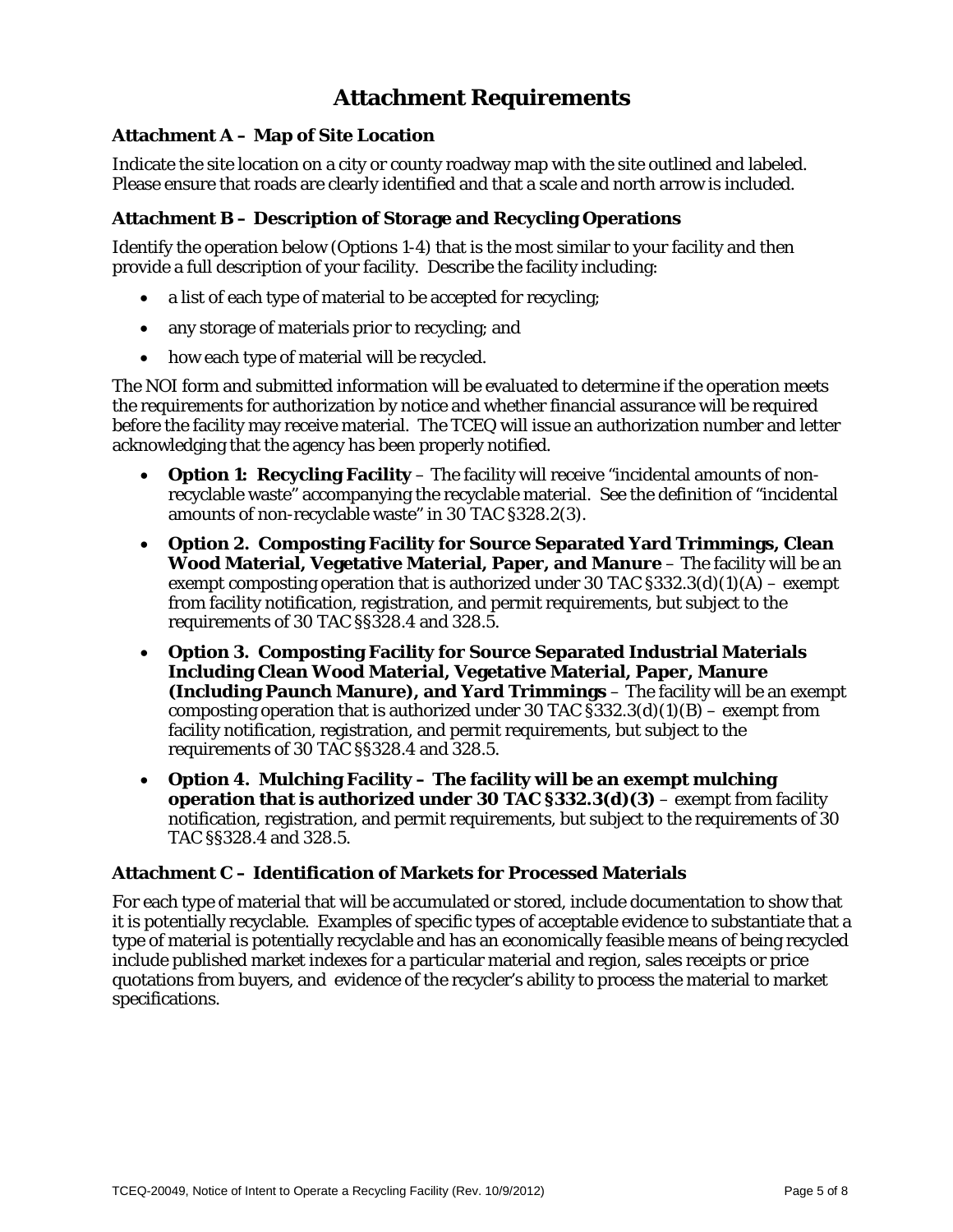## **Attachment Requirements**

#### **Attachment A – Map of Site Location**

Indicate the site location on a city or county roadway map with the site outlined and labeled. Please ensure that roads are clearly identified and that a scale and north arrow is included.

#### **Attachment B – Description of Storage and Recycling Operations**

Identify the operation below (Options 1-4) that is the most similar to your facility and then provide a full description of your facility. Describe the facility including:

- a list of each type of material to be accepted for recycling;
- any storage of materials prior to recycling; and
- how each type of material will be recycled.

The NOI form and submitted information will be evaluated to determine if the operation meets the requirements for authorization by notice and whether financial assurance will be required before the facility may receive material. The TCEQ will issue an authorization number and letter acknowledging that the agency has been properly notified.

- **Option 1: Recycling Facility** The facility will receive "incidental amounts of nonrecyclable waste" accompanying the recyclable material. See the definition of "incidental amounts of non-recyclable waste" in 30 TAC §328.2(3).
- **Option 2. Composting Facility for Source Separated Yard Trimmings, Clean Wood Material, Vegetative Material, Paper, and Manure** – The facility will be an exempt composting operation that is authorized under 30 TAC  $\S 332.3(d)(1)(A)$  – exempt from facility notification, registration, and permit requirements, but subject to the requirements of 30 TAC §§328.4 and 328.5.
- **Option 3. Composting Facility for Source Separated Industrial Materials Including Clean Wood Material, Vegetative Material, Paper, Manure (Including Paunch Manure), and Yard Trimmings** – The facility will be an exempt composting operation that is authorized under 30 TAC  $$332.3(d)(1)(B)$  – exempt from facility notification, registration, and permit requirements, but subject to the requirements of 30 TAC §§328.4 and 328.5.
- **Option 4. Mulching Facility The facility will be an exempt mulching operation that is authorized under 30 TAC §332.3(d)(3)** – exempt from facility notification, registration, and permit requirements, but subject to the requirements of 30 TAC §§328.4 and 328.5.

#### **Attachment C – Identification of Markets for Processed Materials**

For each type of material that will be accumulated or stored, include documentation to show that it is potentially recyclable. Examples of specific types of acceptable evidence to substantiate that a type of material is potentially recyclable and has an economically feasible means of being recycled include published market indexes for a particular material and region, sales receipts or price quotations from buyers, and evidence of the recycler's ability to process the material to market specifications.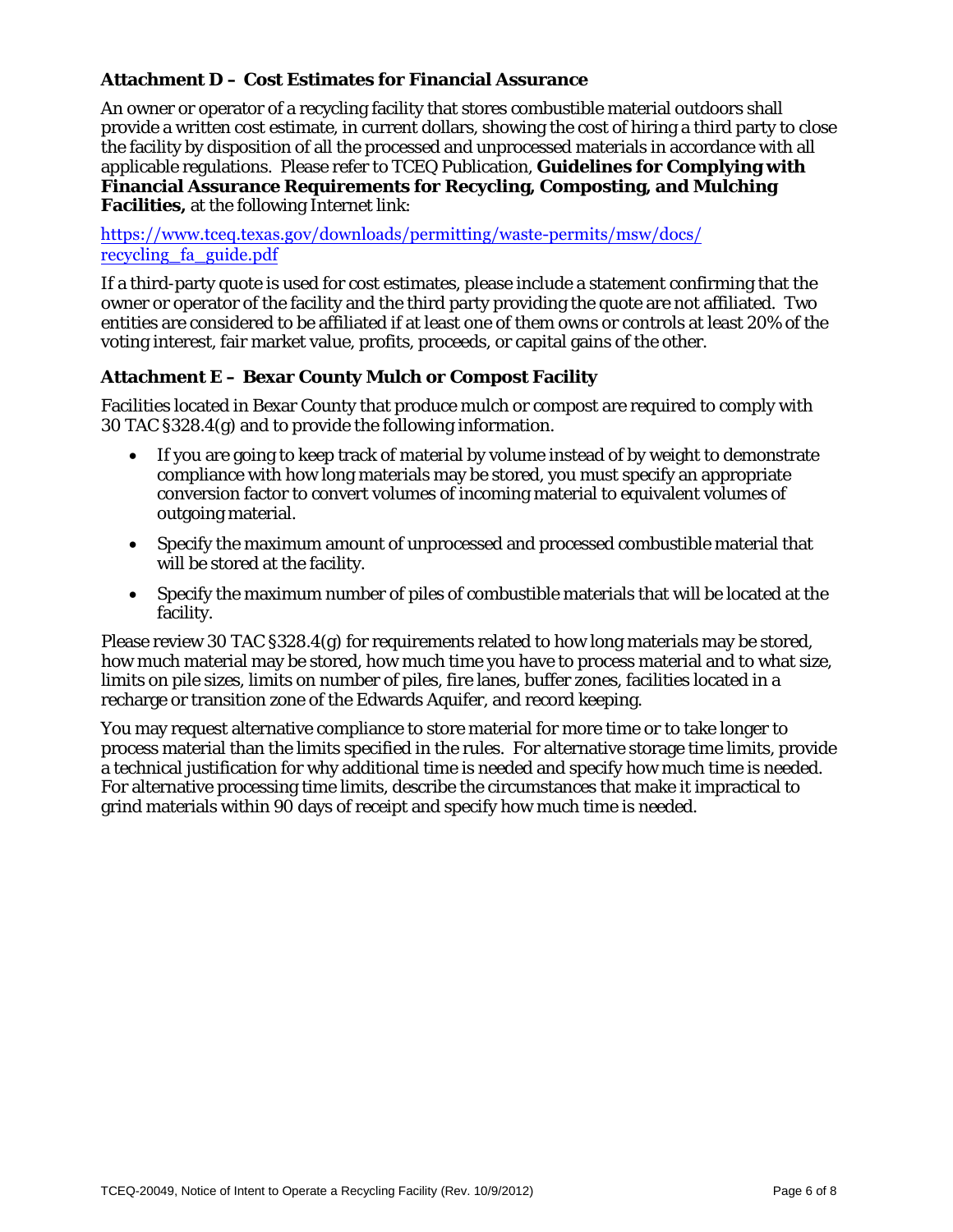#### **Attachment D – Cost Estimates for Financial Assurance**

An owner or operator of a recycling facility that stores combustible material outdoors shall provide a written cost estimate, in current dollars, showing the cost of hiring a third party to close the facility by disposition of all the processed and unprocessed materials in accordance with all applicable regulations. Please refer to TCEQ Publication, **Guidelines for Complying with Financial Assurance Requirements for Recycling, Composting, and Mulching Facilities,** at the following Internet link:

[https://www.tceq.texas.gov/downloads/permitting/waste-permits/msw/docs/](https://www.tceq.texas.gov/downloads/permitting/waste-permits/msw/docs/recycling_fa_guide.pdf) recycling\_fa\_guide.pdf

If a third-party quote is used for cost estimates, please include a statement confirming that the owner or operator of the facility and the third party providing the quote are not affiliated. Two entities are considered to be affiliated if at least one of them owns or controls at least 20% of the voting interest, fair market value, profits, proceeds, or capital gains of the other.

#### **Attachment E – Bexar County Mulch or Compost Facility**

Facilities located in Bexar County that produce mulch or compost are required to comply with 30 TAC §328.4(g) and to provide the following information.

- If you are going to keep track of material by volume instead of by weight to demonstrate compliance with how long materials may be stored, you must specify an appropriate conversion factor to convert volumes of incoming material to equivalent volumes of outgoing material.
- Specify the maximum amount of unprocessed and processed combustible material that will be stored at the facility.
- Specify the maximum number of piles of combustible materials that will be located at the facility.

Please review 30 TAC §328.4(g) for requirements related to how long materials may be stored, how much material may be stored, how much time you have to process material and to what size, limits on pile sizes, limits on number of piles, fire lanes, buffer zones, facilities located in a recharge or transition zone of the Edwards Aquifer, and record keeping.

You may request alternative compliance to store material for more time or to take longer to process material than the limits specified in the rules. For alternative storage time limits, provide a technical justification for why additional time is needed and specify how much time is needed. For alternative processing time limits, describe the circumstances that make it impractical to grind materials within 90 days of receipt and specify how much time is needed.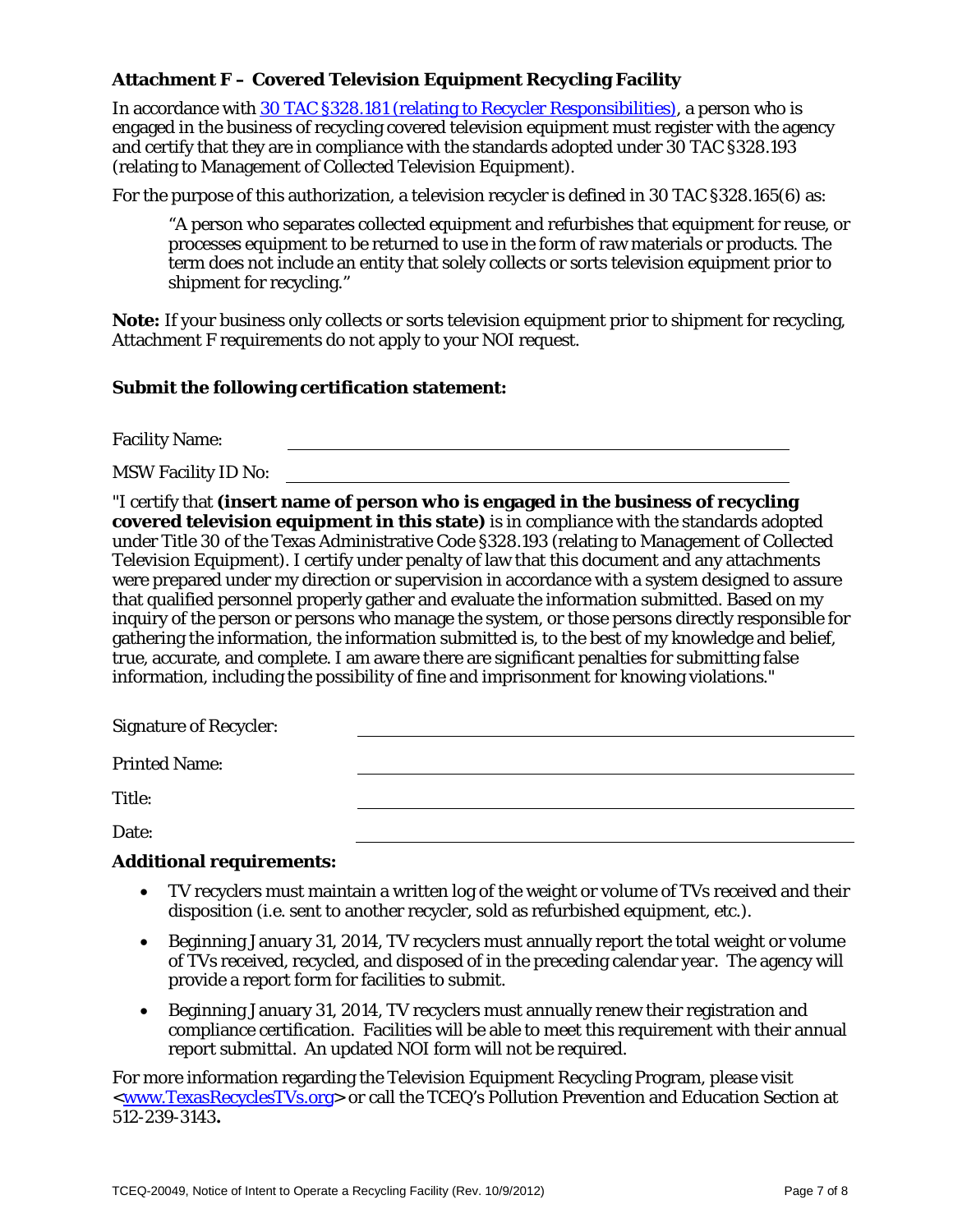#### **Attachment F – Covered Television Equipment Recycling Facility**

In accordance with 30 TAC §328.181 [\(relating to Recycler Responsibilities\),](http://texreg.sos.state.tx.us/public/readtac$ext.ViewTAC?tac_view=5&ti=30&pt=1&ch=328&sch=J&rl=Y) a person who is engaged in the business of recycling covered television equipment must register with the agency and certify that they are in compliance with the standards adopted under 30 TAC §328.193 (relating to Management of Collected Television Equipment).

For the purpose of this authorization, a television recycler is defined in 30 TAC §328.165(6) as:

"A person who separates collected equipment and refurbishes that equipment for reuse, or processes equipment to be returned to use in the form of raw materials or products. The term does not include an entity that solely collects or sorts television equipment prior to shipment for recycling."

**Note:** If your business only collects or sorts television equipment prior to shipment for recycling, Attachment F requirements do not apply to your NOI request.

#### **Submit the following certification statement:**

Facility Name:

MSW Facility ID No:

"I certify that **(insert name of person who is engaged in the business of recycling covered television equipment in this state)** is in compliance with the standards adopted under Title 30 of the Texas Administrative Code §328.193 (relating to Management of Collected Television Equipment). I certify under penalty of law that this document and any attachments were prepared under my direction or supervision in accordance with a system designed to assure that qualified personnel properly gather and evaluate the information submitted. Based on my inquiry of the person or persons who manage the system, or those persons directly responsible for gathering the information, the information submitted is, to the best of my knowledge and belief, true, accurate, and complete. I am aware there are significant penalties for submitting false information, including the possibility of fine and imprisonment for knowing violations."

| <b>Signature of Recycler:</b> |  |
|-------------------------------|--|
| <b>Printed Name:</b>          |  |
| Title:                        |  |
| Date:                         |  |

#### **Additional requirements:**

- TV recyclers must maintain a written log of the weight or volume of TVs received and their disposition (i.e. sent to another recycler, sold as refurbished equipment, etc.).
- Beginning January 31, 2014, TV recyclers must annually report the total weight or volume of TVs received, recycled, and disposed of in the preceding calendar year. The agency will provide a report form for facilities to submit.
- Beginning January 31, 2014, TV recyclers must annually renew their registration and compliance certification. Facilities will be able to meet this requirement with their annual report submittal. An updated NOI form will not be required.

For more information regarding the Television Equipment Recycling Program, please visit [<www.TexasRecyclesTVs.org>](http://www.texasrecyclestvs.org/) or call the TCEQ's Pollution Prevention and Education Section at 512-239-3143**.**